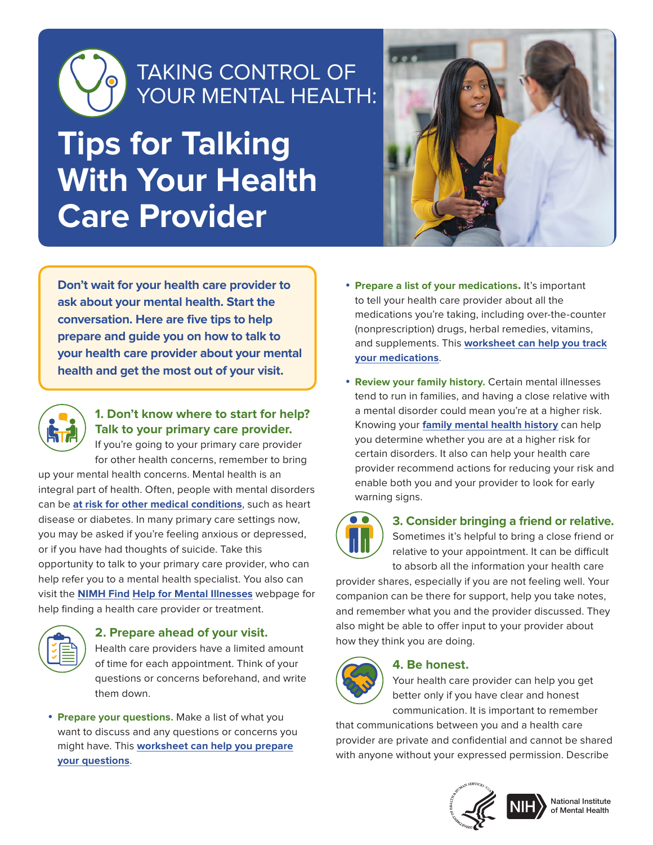

# TAKING CONTROL OF YOUR MENTAL HEALTH:

# **Tips for Talking With Your Health Care Provider**



**Don't wait for your health care provider to ask about your mental health. Start the conversation. Here are five tips to help prepare and guide you on how to talk to your health care provider about your mental health and get the most out of your visit.**



### **1. Don't know where to start for help? Talk to your primary care provider.**

If you're going to your primary care provider for other health concerns, remember to bring up your mental health concerns. Mental health is an integral part of health. Often, people with mental disorders can be **[at risk for other medical conditions](https://www.nimh.nih.gov/health/publications/chronic-illness-mental-health/index.shtml)**, such as heart disease or diabetes. In many primary care settings now, you may be asked if you're feeling anxious or depressed, or if you have had thoughts of suicide. Take this opportunity to talk to your primary care provider, who can help refer you to a mental health specialist. You also can visit the **NIMH Find [Help for Mental Illnesses](https://www.nimh.nih.gov/health/find-help/index.shtml)** webpage for help finding a health care provider or treatment.

#### **2. Prepare ahead of your visit.**  Health care providers have a limited amount of time for each appointment. Think of your questions or concerns beforehand, and write them down.

• **Prepare your questions.** Make a list of what you want to discuss and any questions or concerns you might have. This **[worksheet can help you prepare](https://www.nia.nih.gov/health/discussing-your-concerns-doctor-worksheet) [your questions](https://www.nia.nih.gov/health/discussing-your-concerns-doctor-worksheet)**.

- **Prepare a list of your medications.** It's important to tell your health care provider about all the medications you're taking, including over-the-counter (nonprescription) drugs, herbal remedies, vitamins, and supplements. This **[worksheet can help you track](https://www.nia.nih.gov/health/tracking-your-medications-worksheet) [your medications](https://www.nia.nih.gov/health/tracking-your-medications-worksheet)**.
- **Review your family history.** Certain mental illnesses tend to run in families, and having a close relative with a mental disorder could mean you're at a higher risk. Knowing your **[family mental health history](https://medlineplus.gov/ency/patientinstructions/000947.htm)** can help you determine whether you are at a higher risk for certain disorders. It also can help your health care provider recommend actions for reducing your risk and enable both you and your provider to look for early warning signs.



## **3. Consider bringing a friend or relative.**

Sometimes it's helpful to bring a close friend or relative to your appointment. It can be difficult to absorb all the information your health care

provider shares, especially if you are not feeling well. Your companion can be there for support, help you take notes, and remember what you and the provider discussed. They also might be able to offer input to your provider about how they think you are doing.



#### **4. Be honest.**

Your health care provider can help you get better only if you have clear and honest communication. It is important to remember

that communications between you and a health care provider are private and confidential and cannot be shared with anyone without your expressed permission. Describe